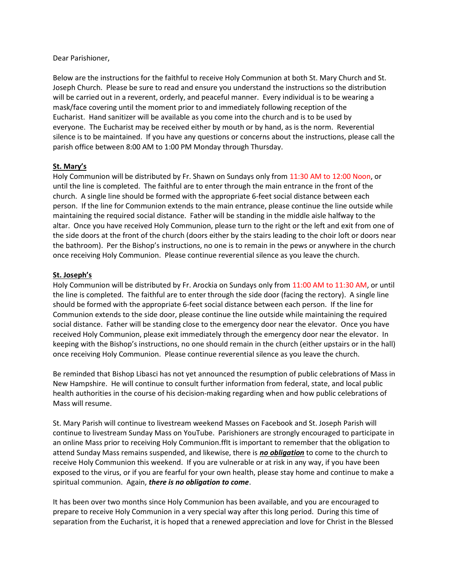#### Dear Parishioner,

Below are the instructions for the faithful to receive Holy Communion at both St. Mary Church and St. Joseph Church. Please be sure to read and ensure you understand the instructions so the distribution will be carried out in a reverent, orderly, and peaceful manner. Every individual is to be wearing a mask/face covering until the moment prior to and immediately following reception of the Eucharist. Hand sanitizer will be available as you come into the church and is to be used by everyone. The Eucharist may be received either by mouth or by hand, as is the norm. Reverential silence is to be maintained. If you have any questions or concerns about the instructions, please call the parish office between 8:00 AM to 1:00 PM Monday through Thursday.

### St. Mary's

Holy Communion will be distributed by Fr. Shawn on Sundays only from 11:30 AM to 12:00 Noon, or until the line is completed. The faithful are to enter through the main entrance in the front of the church. A single line should be formed with the appropriate 6-feet social distance between each person. If the line for Communion extends to the main entrance, please continue the line outside while maintaining the required social distance. Father will be standing in the middle aisle halfway to the altar. Once you have received Holy Communion, please turn to the right or the left and exit from one of the side doors at the front of the church (doors either by the stairs leading to the choir loft or doors near the bathroom). Per the Bishop's instructions, no one is to remain in the pews or anywhere in the church once receiving Holy Communion. Please continue reverential silence as you leave the church.

### St. Joseph's

Holy Communion will be distributed by Fr. Arockia on Sundays only from 11:00 AM to 11:30 AM, or until the line is completed. The faithful are to enter through the side door (facing the rectory). A single line should be formed with the appropriate 6-feet social distance between each person. If the line for Communion extends to the side door, please continue the line outside while maintaining the required social distance. Father will be standing close to the emergency door near the elevator. Once you have received Holy Communion, please exit immediately through the emergency door near the elevator. In keeping with the Bishop's instructions, no one should remain in the church (either upstairs or in the hall) once receiving Holy Communion. Please continue reverential silence as you leave the church.

Be reminded that Bishop Libasci has not yet announced the resumption of public celebrations of Mass in New Hampshire. He will continue to consult further information from federal, state, and local public health authorities in the course of his decision-making regarding when and how public celebrations of Mass will resume.

St. Mary Parish will continue to livestream weekend Masses on Facebook and St. Joseph Parish will continue to livestream Sunday Mass on YouTube. Parishioners are strongly encouraged to participate in an online Mass prior to receiving Holy Communion.ffIt is important to remember that the obligation to attend Sunday Mass remains suspended, and likewise, there is no obligation to come to the church to receive Holy Communion this weekend. If you are vulnerable or at risk in any way, if you have been exposed to the virus, or if you are fearful for your own health, please stay home and continue to make a spiritual communion. Again, there is no obligation to come.

It has been over two months since Holy Communion has been available, and you are encouraged to prepare to receive Holy Communion in a very special way after this long period. During this time of separation from the Eucharist, it is hoped that a renewed appreciation and love for Christ in the Blessed